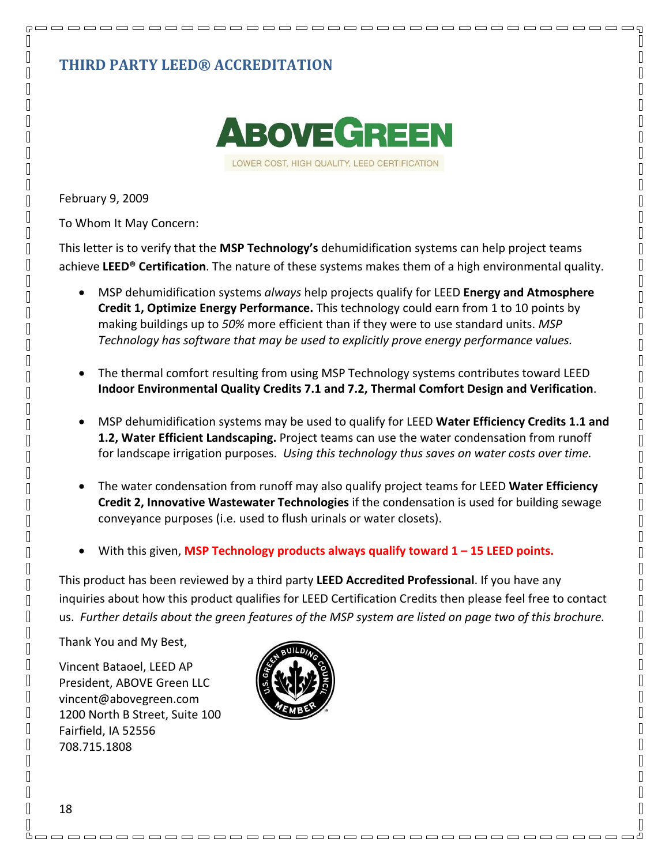## **THIRD PARTY LEED® ACCREDITATION**



February 9, 2009

 $R =$  $\mathbb{I}$ 

 $\overline{\mathbb{R}}$ 

 $\overline{\mathbb{R}}$ 

 $\mathbb{I}$  $\mathbb{I}$ 

 $\sqrt{2}$ 

 $\mathbb{R}$ 

 $\mathbb{I}$ 

 $\sqrt{2}$ 

 $\mathbb{R}$ 

 $\mathbb{R}$ 

 $\mathbb{I}$  $\mathbb{R}$ 

 $\mathbb{R}$  $\sqrt{2}$ 

 $\mathbb{R}$ 

 $\sqrt{2}$  $\mathbb{I}$ 

 $\Box$  $\mathbb{R}$ 

 $\sqrt{2}$ 

 $\mathbb{I}$ 

 $\sqrt{2}$  $\mathbb{I}$ 

 $\mathbb{I}$  $\mathbb{I}$ 

 $\overline{\mathbb{R}}$ 

 $\overline{\mathbb{R}}$ 

 $\mathbb{R}$ 

 $\mathbb{I}$ 

 $\sqrt{2}$ 

 $\mathbb{I}$  $\mathbb{R}$ 

 $\Box$  $\sqrt{2}$ 

 $\sqrt{2}$ 

 $\mathbb{R}$ 

 $\mathbb{L}$  $\mathbb{R}$ 

 $\mathbb{L}$  $\mathbb{R}$ 

 $\mathbb{R}$ 

 $\mathbb{I}$  $\mathbb{R}$ 

 $\mathbb{I}$ 

 $\sqrt{2}$ 

 $\mathbb{I}$  $\sqrt{2}$ 

 $\mathbb{I}$ 

To Whom It May Concern:

This letter is to verify that the **MSP Technology's** dehumidification systems can help project teams achieve **LEED® Certification**. The nature of these systems makes them of a high environmental quality.

- MSP dehumidification systems *always* help projects qualify for LEED **Energy and Atmosphere Credit 1, Optimize Energy Performance.** This technology could earn from 1 to 10 points by making buildings up to *50%* more efficient than if they were to use standard units. *MSP Technology has software that may be used to explicitly prove energy performance values.*
- The thermal comfort resulting from using MSP Technology systems contributes toward LEED **Indoor Environmental Quality Credits 7.1 and 7.2, Thermal Comfort Design and Verification**.
- MSP dehumidification systems may be used to qualify for LEED **Water Efficiency Credits 1.1 and 1.2, Water Efficient Landscaping.** Project teams can use the water condensation from runoff for landscape irrigation purposes. *Using this technology thus saves on water costs over time.*
- The water condensation from runoff may also qualify project teams for LEED **Water Efficiency Credit 2, Innovative Wastewater Technologies** if the condensation is used for building sewage conveyance purposes (i.e. used to flush urinals or water closets).
- With this given, **MSP Technology products always qualify toward 1 – 15 LEED points.**

This product has been reviewed by a third party **LEED Accredited Professional**. If you have any inquiries about how this product qualifies for LEED Certification Credits then please feel free to contact us. Further details about the green features of the MSP system are listed on page two of this brochure.

<u>boooooooooooooooooooooooooooooooooo</u>d

Thank You and My Best,

Vincent Bataoel, LEED AP President, ABOVE Green LLC vincent@abovegreen.com 1200 North B Street, Suite 100 Fairfield, IA 52556 708.715.1808